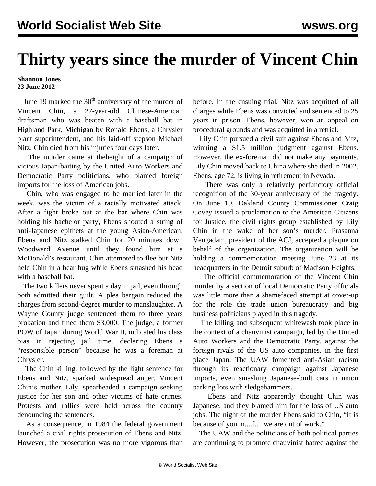## **Thirty years since the murder of Vincent Chin**

## **Shannon Jones 23 June 2012**

June 19 marked the  $30<sup>th</sup>$  anniversary of the murder of Vincent Chin, a 27-year-old Chinese-American draftsman who was beaten with a baseball bat in Highland Park, Michigan by Ronald Ebens, a Chrysler plant superintendent, and his laid-off stepson Michael Nitz. Chin died from his injuries four days later.

 The murder came at theheight of a campaign of vicious Japan-baiting by the United Auto Workers and Democratic Party politicians, who blamed foreign imports for the loss of American jobs.

 Chin, who was engaged to be married later in the week, was the victim of a racially motivated attack. After a fight broke out at the bar where Chin was holding his bachelor party, Ebens shouted a string of anti-Japanese epithets at the young Asian-American. Ebens and Nitz stalked Chin for 20 minutes down Woodward Avenue until they found him at a McDonald's restaurant. Chin attempted to flee but Nitz held Chin in a bear hug while Ebens smashed his head with a baseball bat.

 The two killers never spent a day in jail, even through both admitted their guilt. A plea bargain reduced the charges from second-degree murder to manslaughter. A Wayne County judge sentenced them to three years probation and fined them \$3,000. The judge, a former POW of Japan during World War II, indicated his class bias in rejecting jail time, declaring Ebens a "responsible person" because he was a foreman at Chrysler.

 The Chin killing, followed by the light sentence for Ebens and Nitz, sparked widespread anger. Vincent Chin's mother, Lily, spearheaded a campaign seeking justice for her son and other victims of hate crimes. Protests and rallies were held across the country denouncing the sentences.

 As a consequence, in 1984 the federal government launched a civil rights prosecution of Ebens and Nitz. However, the prosecution was no more vigorous than before. In the ensuing trial, Nitz was acquitted of all charges while Ebens was convicted and sentenced to 25 years in prison. Ebens, however, won an appeal on procedural grounds and was acquitted in a retrial.

 Lily Chin pursued a civil suit against Ebens and Nitz, winning a \$1.5 million judgment against Ebens. However, the ex-foreman did not make any payments. Lily Chin moved back to China where she died in 2002. Ebens, age 72, is living in retirement in Nevada.

 There was only a relatively perfunctory official recognition of the 30-year anniversary of the tragedy. On June 19, Oakland County Commissioner Craig Covey issued a proclamation to the American Citizens for Justice, the civil rights group established by Lily Chin in the wake of her son's murder. Prasanna Vengadam, president of the ACJ, accepted a plaque on behalf of the organization. The organization will be holding a commemoration meeting June 23 at its headquarters in the Detroit suburb of Madison Heights.

 The official commemoration of the Vincent Chin murder by a section of local Democratic Party officials was little more than a shamefaced attempt at cover-up for the role the trade union bureaucracy and big business politicians played in this tragedy.

 The killing and subsequent whitewash took place in the context of a chauvinist campaign, led by the United Auto Workers and the Democratic Party, against the foreign rivals of the US auto companies, in the first place Japan. The UAW fomented anti-Asian racism through its reactionary campaign against Japanese imports, even smashing Japanese-built cars in union parking lots with sledgehammers.

 Ebens and Nitz apparently thought Chin was Japanese, and they blamed him for the loss of US auto jobs. The night of the murder Ebens said to Chin, "It is because of you m....f.... we are out of work."

 The UAW and the politicians of both political parties are continuing to promote chauvinist hatred against the